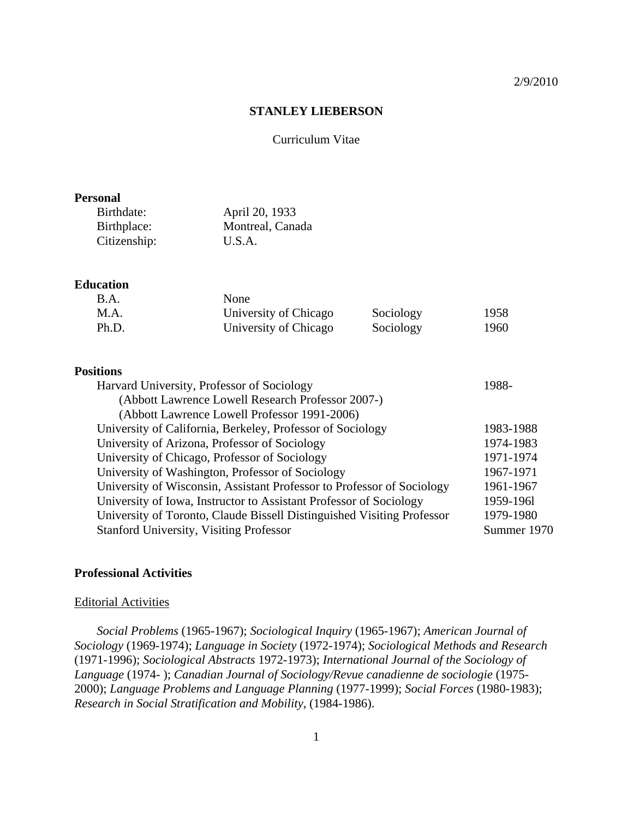#### 2/9/2010

# **STANLEY LIEBERSON**

#### Curriculum Vitae

### **Personal**

| Birthdate:   | April 20, 1933   |
|--------------|------------------|
| Birthplace:  | Montreal, Canada |
| Citizenship: | U.S.A.           |

## **Education**

| B.A.  | None                  |           |      |
|-------|-----------------------|-----------|------|
| M.A.  | University of Chicago | Sociology | 1958 |
| Ph.D. | University of Chicago | Sociology | 1960 |

## **Positions**

| Harvard University, Professor of Sociology                             | 1988-       |
|------------------------------------------------------------------------|-------------|
| (Abbott Lawrence Lowell Research Professor 2007-)                      |             |
| (Abbott Lawrence Lowell Professor 1991-2006)                           |             |
| University of California, Berkeley, Professor of Sociology             | 1983-1988   |
| University of Arizona, Professor of Sociology                          | 1974-1983   |
| University of Chicago, Professor of Sociology                          | 1971-1974   |
| University of Washington, Professor of Sociology                       | 1967-1971   |
| University of Wisconsin, Assistant Professor to Professor of Sociology | 1961-1967   |
| University of Iowa, Instructor to Assistant Professor of Sociology     | 1959-1961   |
| University of Toronto, Claude Bissell Distinguished Visiting Professor | 1979-1980   |
| <b>Stanford University, Visiting Professor</b>                         | Summer 1970 |

# **Professional Activities**

#### Editorial Activities

*Social Problems* (1965-1967); *Sociological Inquiry* (1965-1967); *American Journal of Sociology* (1969-1974); *Language in Society* (1972-1974); *Sociological Methods and Research* (1971-1996); *Sociological Abstracts* 1972-1973); *International Journal of the Sociology of Language* (1974- ); *Canadian Journal of Sociology/Revue canadienne de sociologie* (1975- 2000); *Language Problems and Language Planning* (1977-1999); *Social Forces* (1980-1983); *Research in Social Stratification and Mobility*, (1984-1986).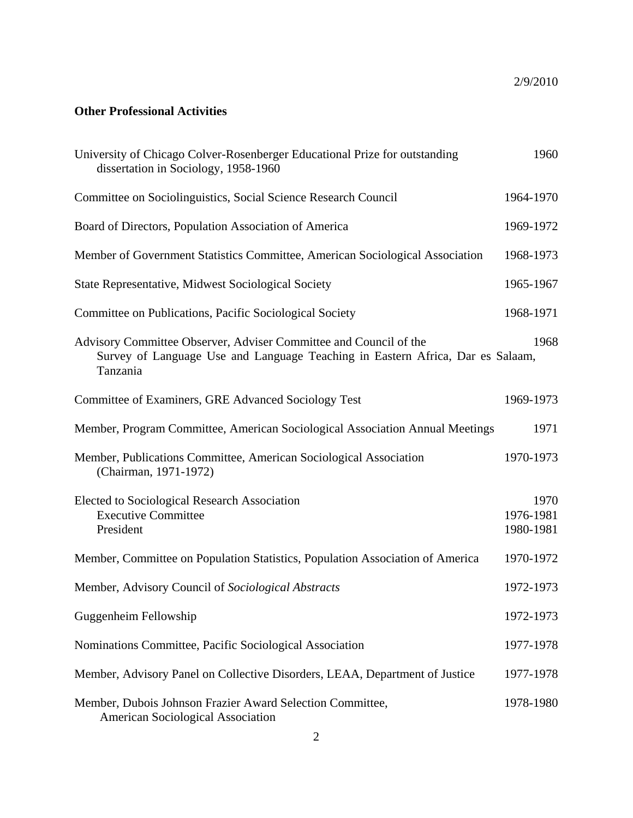# **Other Professional Activities**

| University of Chicago Colver-Rosenberger Educational Prize for outstanding<br>dissertation in Sociology, 1958-1960                                              | 1960                           |
|-----------------------------------------------------------------------------------------------------------------------------------------------------------------|--------------------------------|
| Committee on Sociolinguistics, Social Science Research Council                                                                                                  | 1964-1970                      |
| Board of Directors, Population Association of America                                                                                                           | 1969-1972                      |
| Member of Government Statistics Committee, American Sociological Association                                                                                    | 1968-1973                      |
| State Representative, Midwest Sociological Society                                                                                                              | 1965-1967                      |
| Committee on Publications, Pacific Sociological Society                                                                                                         | 1968-1971                      |
| Advisory Committee Observer, Adviser Committee and Council of the<br>Survey of Language Use and Language Teaching in Eastern Africa, Dar es Salaam,<br>Tanzania | 1968                           |
| Committee of Examiners, GRE Advanced Sociology Test                                                                                                             | 1969-1973                      |
| Member, Program Committee, American Sociological Association Annual Meetings                                                                                    | 1971                           |
| Member, Publications Committee, American Sociological Association<br>(Chairman, 1971-1972)                                                                      | 1970-1973                      |
| Elected to Sociological Research Association<br><b>Executive Committee</b><br>President                                                                         | 1970<br>1976-1981<br>1980-1981 |
| Member, Committee on Population Statistics, Population Association of America                                                                                   | 1970-1972                      |
| Member, Advisory Council of Sociological Abstracts                                                                                                              | 1972-1973                      |
| Guggenheim Fellowship                                                                                                                                           | 1972-1973                      |
| Nominations Committee, Pacific Sociological Association                                                                                                         | 1977-1978                      |
| Member, Advisory Panel on Collective Disorders, LEAA, Department of Justice                                                                                     | 1977-1978                      |
| Member, Dubois Johnson Frazier Award Selection Committee,<br>American Sociological Association                                                                  | 1978-1980                      |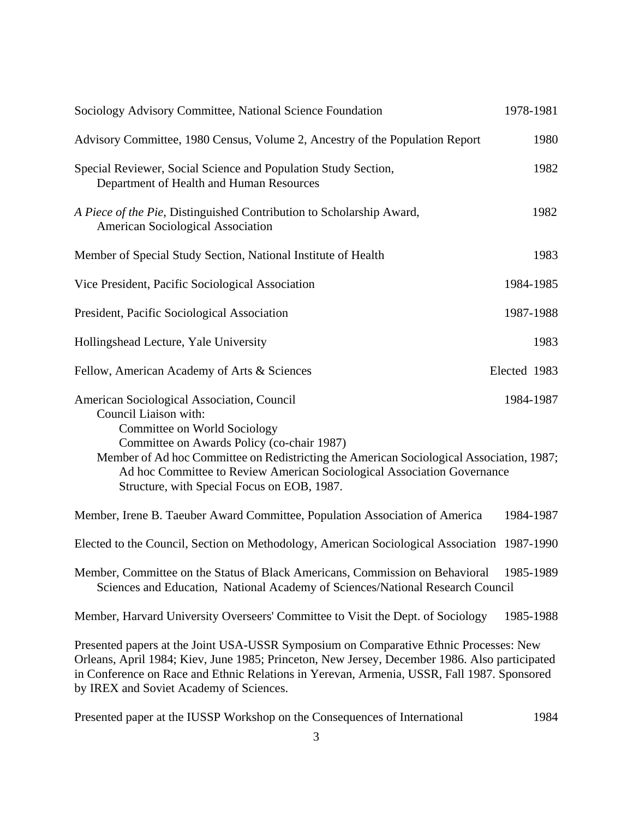| Sociology Advisory Committee, National Science Foundation                                                                                                                                                                                                                                                                                                               | 1978-1981    |
|-------------------------------------------------------------------------------------------------------------------------------------------------------------------------------------------------------------------------------------------------------------------------------------------------------------------------------------------------------------------------|--------------|
| Advisory Committee, 1980 Census, Volume 2, Ancestry of the Population Report                                                                                                                                                                                                                                                                                            | 1980         |
| Special Reviewer, Social Science and Population Study Section,<br>Department of Health and Human Resources                                                                                                                                                                                                                                                              | 1982         |
| A Piece of the Pie, Distinguished Contribution to Scholarship Award,<br>American Sociological Association                                                                                                                                                                                                                                                               | 1982         |
| Member of Special Study Section, National Institute of Health                                                                                                                                                                                                                                                                                                           | 1983         |
| Vice President, Pacific Sociological Association                                                                                                                                                                                                                                                                                                                        | 1984-1985    |
| President, Pacific Sociological Association                                                                                                                                                                                                                                                                                                                             | 1987-1988    |
| Hollingshead Lecture, Yale University                                                                                                                                                                                                                                                                                                                                   | 1983         |
| Fellow, American Academy of Arts & Sciences                                                                                                                                                                                                                                                                                                                             | Elected 1983 |
| American Sociological Association, Council<br>Council Liaison with:<br>Committee on World Sociology<br>Committee on Awards Policy (co-chair 1987)<br>Member of Ad hoc Committee on Redistricting the American Sociological Association, 1987;<br>Ad hoc Committee to Review American Sociological Association Governance<br>Structure, with Special Focus on EOB, 1987. | 1984-1987    |
| Member, Irene B. Taeuber Award Committee, Population Association of America                                                                                                                                                                                                                                                                                             | 1984-1987    |
| Elected to the Council, Section on Methodology, American Sociological Association 1987-1990                                                                                                                                                                                                                                                                             |              |
| Member, Committee on the Status of Black Americans, Commission on Behavioral<br>Sciences and Education, National Academy of Sciences/National Research Council                                                                                                                                                                                                          | 1985-1989    |
| Member, Harvard University Overseers' Committee to Visit the Dept. of Sociology                                                                                                                                                                                                                                                                                         | 1985-1988    |
| Presented papers at the Joint USA-USSR Symposium on Comparative Ethnic Processes: New<br>Orleans, April 1984; Kiev, June 1985; Princeton, New Jersey, December 1986. Also participated<br>in Conference on Race and Ethnic Relations in Yerevan, Armenia, USSR, Fall 1987. Sponsored<br>by IREX and Soviet Academy of Sciences.                                         |              |

|  | Presented paper at the IUSSP Workshop on the Consequences of International | 1984 |
|--|----------------------------------------------------------------------------|------|
|--|----------------------------------------------------------------------------|------|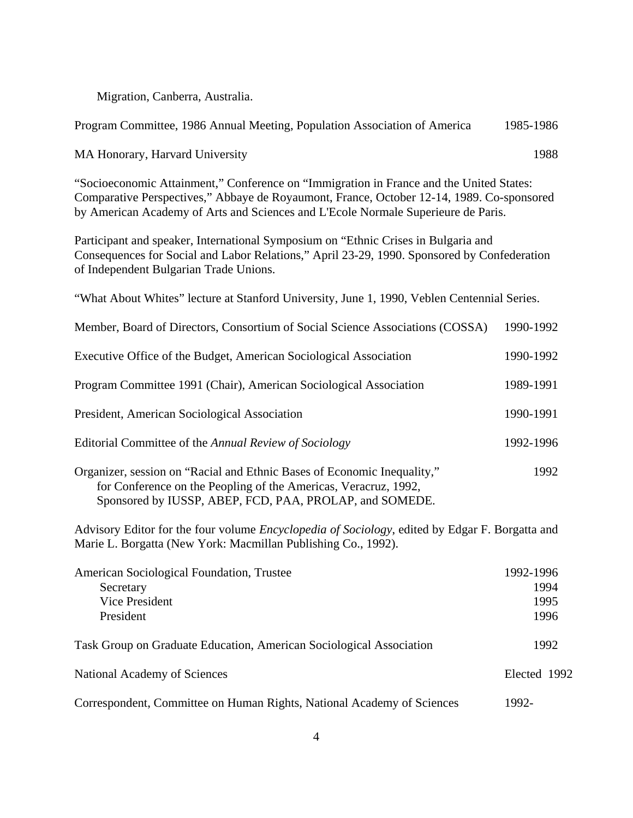Migration, Canberra, Australia.

| Program Committee, 1986 Annual Meeting, Population Association of America                                                                                                                                                                                                 | 1985-1986                         |
|---------------------------------------------------------------------------------------------------------------------------------------------------------------------------------------------------------------------------------------------------------------------------|-----------------------------------|
| MA Honorary, Harvard University                                                                                                                                                                                                                                           | 1988                              |
| "Socioeconomic Attainment," Conference on "Immigration in France and the United States:<br>Comparative Perspectives," Abbaye de Royaumont, France, October 12-14, 1989. Co-sponsored<br>by American Academy of Arts and Sciences and L'Ecole Normale Superieure de Paris. |                                   |
| Participant and speaker, International Symposium on "Ethnic Crises in Bulgaria and<br>Consequences for Social and Labor Relations," April 23-29, 1990. Sponsored by Confederation<br>of Independent Bulgarian Trade Unions.                                               |                                   |
| "What About Whites" lecture at Stanford University, June 1, 1990, Veblen Centennial Series.                                                                                                                                                                               |                                   |
| Member, Board of Directors, Consortium of Social Science Associations (COSSA)                                                                                                                                                                                             | 1990-1992                         |
| Executive Office of the Budget, American Sociological Association                                                                                                                                                                                                         | 1990-1992                         |
| Program Committee 1991 (Chair), American Sociological Association                                                                                                                                                                                                         | 1989-1991                         |
| President, American Sociological Association                                                                                                                                                                                                                              | 1990-1991                         |
| Editorial Committee of the Annual Review of Sociology                                                                                                                                                                                                                     | 1992-1996                         |
| Organizer, session on "Racial and Ethnic Bases of Economic Inequality,"<br>for Conference on the Peopling of the Americas, Veracruz, 1992,<br>Sponsored by IUSSP, ABEP, FCD, PAA, PROLAP, and SOMEDE.                                                                     | 1992                              |
| Advisory Editor for the four volume <i>Encyclopedia of Sociology</i> , edited by Edgar F. Borgatta and<br>Marie L. Borgatta (New York: Macmillan Publishing Co., 1992).                                                                                                   |                                   |
| American Sociological Foundation, Trustee<br>Secretary<br><b>Vice President</b><br>President                                                                                                                                                                              | 1992-1996<br>1994<br>1995<br>1996 |
| Task Group on Graduate Education, American Sociological Association                                                                                                                                                                                                       | 1992                              |
| National Academy of Sciences                                                                                                                                                                                                                                              | Elected 1992                      |
| Correspondent, Committee on Human Rights, National Academy of Sciences                                                                                                                                                                                                    | 1992-                             |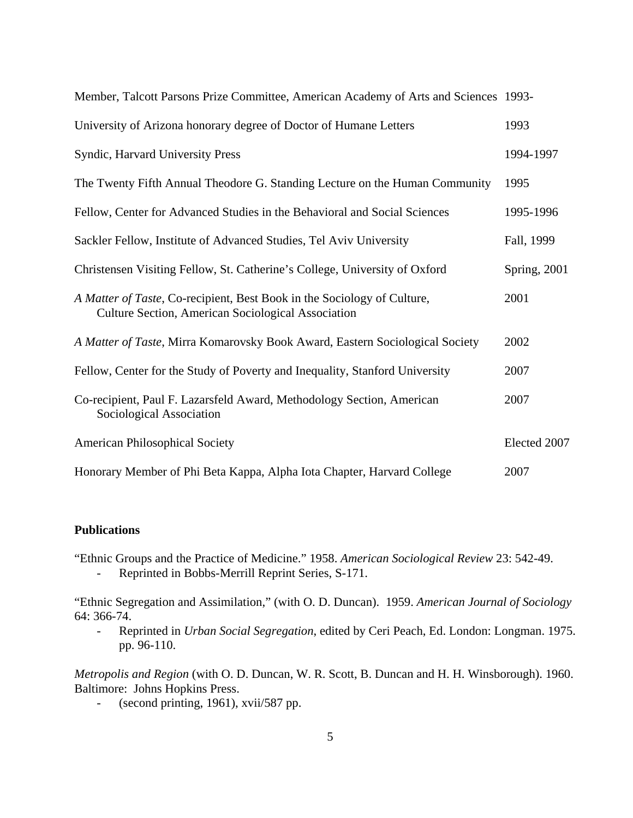| Member, Talcott Parsons Prize Committee, American Academy of Arts and Sciences 1993-                                          |              |
|-------------------------------------------------------------------------------------------------------------------------------|--------------|
| University of Arizona honorary degree of Doctor of Humane Letters                                                             | 1993         |
| Syndic, Harvard University Press                                                                                              | 1994-1997    |
| The Twenty Fifth Annual Theodore G. Standing Lecture on the Human Community                                                   | 1995         |
| Fellow, Center for Advanced Studies in the Behavioral and Social Sciences                                                     | 1995-1996    |
| Sackler Fellow, Institute of Advanced Studies, Tel Aviv University                                                            | Fall, 1999   |
| Christensen Visiting Fellow, St. Catherine's College, University of Oxford                                                    | Spring, 2001 |
| A Matter of Taste, Co-recipient, Best Book in the Sociology of Culture,<br>Culture Section, American Sociological Association | 2001         |
| A Matter of Taste, Mirra Komarovsky Book Award, Eastern Sociological Society                                                  | 2002         |
| Fellow, Center for the Study of Poverty and Inequality, Stanford University                                                   | 2007         |
| Co-recipient, Paul F. Lazarsfeld Award, Methodology Section, American<br>Sociological Association                             | 2007         |
| <b>American Philosophical Society</b>                                                                                         | Elected 2007 |
| Honorary Member of Phi Beta Kappa, Alpha Iota Chapter, Harvard College                                                        | 2007         |

# **Publications**

"Ethnic Groups and the Practice of Medicine." 1958. *American Sociological Review* 23: 542-49.

- Reprinted in Bobbs-Merrill Reprint Series, S-171.

"Ethnic Segregation and Assimilation," (with O. D. Duncan). 1959. *American Journal of Sociology* 64: 366-74.

- Reprinted in *Urban Social Segregation*, edited by Ceri Peach, Ed. London: Longman. 1975. pp. 96-110.

*Metropolis and Region* (with O. D. Duncan, W. R. Scott, B. Duncan and H. H. Winsborough). 1960. Baltimore: Johns Hopkins Press.

- (second printing, 1961), xvii/587 pp.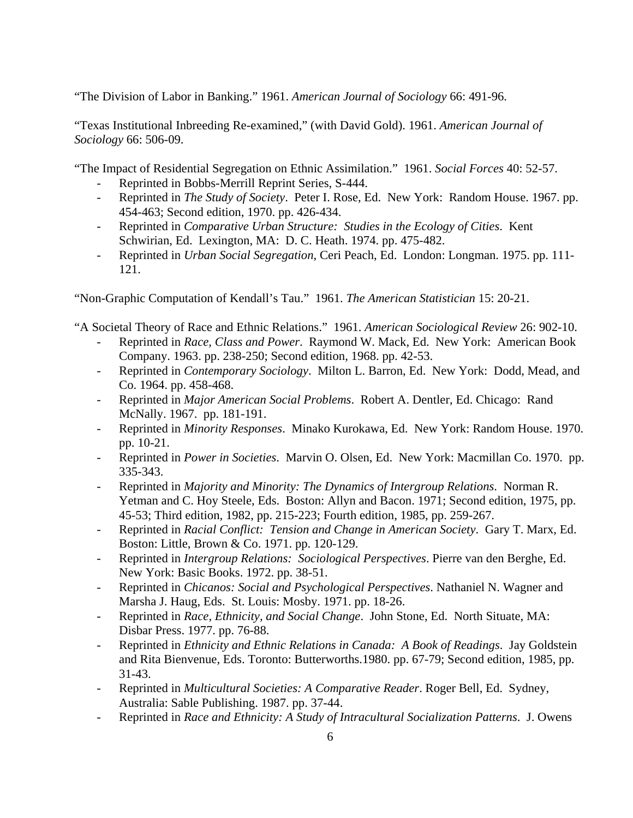"The Division of Labor in Banking." 1961. *American Journal of Sociology* 66: 491-96.

"Texas Institutional Inbreeding Re-examined," (with David Gold). 1961. *American Journal of Sociology* 66: 506-09.

"The Impact of Residential Segregation on Ethnic Assimilation." 1961. *Social Forces* 40: 52-57.

- Reprinted in Bobbs-Merrill Reprint Series, S-444.
- Reprinted in *The Study of Society*. Peter I. Rose, Ed. New York: Random House. 1967. pp. 454-463; Second edition, 1970. pp. 426-434.
- Reprinted in *Comparative Urban Structure: Studies in the Ecology of Cities*. Kent Schwirian, Ed. Lexington, MA: D. C. Heath. 1974. pp. 475-482.
- Reprinted in *Urban Social Segregation*, Ceri Peach, Ed. London: Longman. 1975. pp. 111- 121.

"Non-Graphic Computation of Kendall's Tau." 1961. *The American Statistician* 15: 20-21.

"A Societal Theory of Race and Ethnic Relations." 1961. *American Sociological Review* 26: 902-10.

- Reprinted in *Race, Class and Power*. Raymond W. Mack, Ed. New York: American Book Company. 1963. pp. 238-250; Second edition, 1968. pp. 42-53.
- Reprinted in *Contemporary Sociology*. Milton L. Barron, Ed. New York: Dodd, Mead, and Co. 1964. pp. 458-468.
- Reprinted in *Major American Social Problems*. Robert A. Dentler, Ed. Chicago: Rand McNally. 1967. pp. 181-191.
- Reprinted in *Minority Responses*. Minako Kurokawa, Ed. New York: Random House. 1970. pp. 10-21.
- Reprinted in *Power in Societies*. Marvin O. Olsen, Ed. New York: Macmillan Co. 1970. pp. 335-343.
- Reprinted in *Majority and Minority: The Dynamics of Intergroup Relations*. Norman R. Yetman and C. Hoy Steele, Eds. Boston: Allyn and Bacon. 1971; Second edition, 1975, pp. 45-53; Third edition, 1982, pp. 215-223; Fourth edition, 1985, pp. 259-267.
- Reprinted in *Racial Conflict: Tension and Change in American Society*. Gary T. Marx, Ed. Boston: Little, Brown & Co. 1971. pp. 120-129.
- Reprinted in *Intergroup Relations: Sociological Perspectives*. Pierre van den Berghe, Ed. New York: Basic Books. 1972. pp. 38-51.
- Reprinted in *Chicanos: Social and Psychological Perspectives*. Nathaniel N. Wagner and Marsha J. Haug, Eds. St. Louis: Mosby. 1971. pp. 18-26.
- Reprinted in *Race, Ethnicity, and Social Change*. John Stone, Ed. North Situate, MA: Disbar Press. 1977. pp. 76-88.
- Reprinted in *Ethnicity and Ethnic Relations in Canada: A Book of Readings*. Jay Goldstein and Rita Bienvenue, Eds. Toronto: Butterworths.1980. pp. 67-79; Second edition, 1985, pp. 31-43.
- Reprinted in *Multicultural Societies: A Comparative Reader*. Roger Bell, Ed. Sydney, Australia: Sable Publishing. 1987. pp. 37-44.
- Reprinted in *Race and Ethnicity: A Study of Intracultural Socialization Patterns*. J. Owens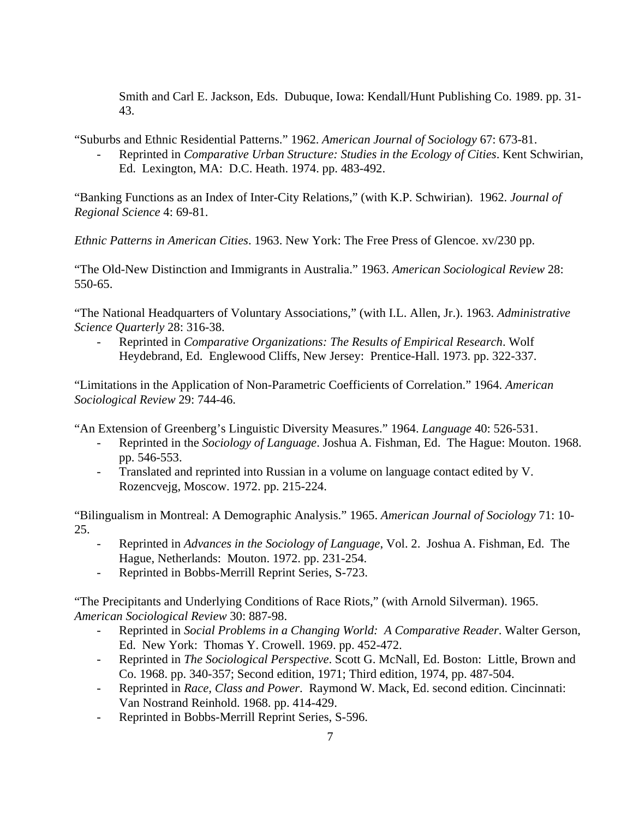Smith and Carl E. Jackson, Eds. Dubuque, Iowa: Kendall/Hunt Publishing Co. 1989. pp. 31- 43.

"Suburbs and Ethnic Residential Patterns." 1962. *American Journal of Sociology* 67: 673-81.

- Reprinted in *Comparative Urban Structure: Studies in the Ecology of Cities*. Kent Schwirian, Ed. Lexington, MA: D.C. Heath. 1974. pp. 483-492.

"Banking Functions as an Index of Inter-City Relations," (with K.P. Schwirian). 1962. *Journal of Regional Science* 4: 69-81.

*Ethnic Patterns in American Cities*. 1963. New York: The Free Press of Glencoe. xv/230 pp.

"The Old-New Distinction and Immigrants in Australia." 1963. *American Sociological Review* 28: 550-65.

"The National Headquarters of Voluntary Associations," (with I.L. Allen, Jr.). 1963. *Administrative Science Quarterly* 28: 316-38.

- Reprinted in *Comparative Organizations: The Results of Empirical Research*. Wolf Heydebrand, Ed. Englewood Cliffs, New Jersey: Prentice-Hall. 1973. pp. 322-337.

"Limitations in the Application of Non-Parametric Coefficients of Correlation." 1964. *American Sociological Review* 29: 744-46.

"An Extension of Greenberg's Linguistic Diversity Measures." 1964. *Language* 40: 526-531.

- Reprinted in the *Sociology of Language*. Joshua A. Fishman, Ed. The Hague: Mouton. 1968. pp. 546-553.
- Translated and reprinted into Russian in a volume on language contact edited by V. Rozencvejg, Moscow. 1972. pp. 215-224.

"Bilingualism in Montreal: A Demographic Analysis." 1965. *American Journal of Sociology* 71: 10- 25.

- Reprinted in *Advances in the Sociology of Language*, Vol. 2. Joshua A. Fishman, Ed. The Hague, Netherlands: Mouton. 1972. pp. 231-254.
- Reprinted in Bobbs-Merrill Reprint Series, S-723.

"The Precipitants and Underlying Conditions of Race Riots," (with Arnold Silverman). 1965. *American Sociological Review* 30: 887-98.

- Reprinted in *Social Problems in a Changing World: A Comparative Reader*. Walter Gerson, Ed. New York: Thomas Y. Crowell. 1969. pp. 452-472.
- Reprinted in *The Sociological Perspective*. Scott G. McNall, Ed. Boston: Little, Brown and Co. 1968. pp. 340-357; Second edition, 1971; Third edition, 1974, pp. 487-504.
- Reprinted in *Race, Class and Power*. Raymond W. Mack, Ed. second edition. Cincinnati: Van Nostrand Reinhold. 1968. pp. 414-429.
- Reprinted in Bobbs-Merrill Reprint Series, S-596.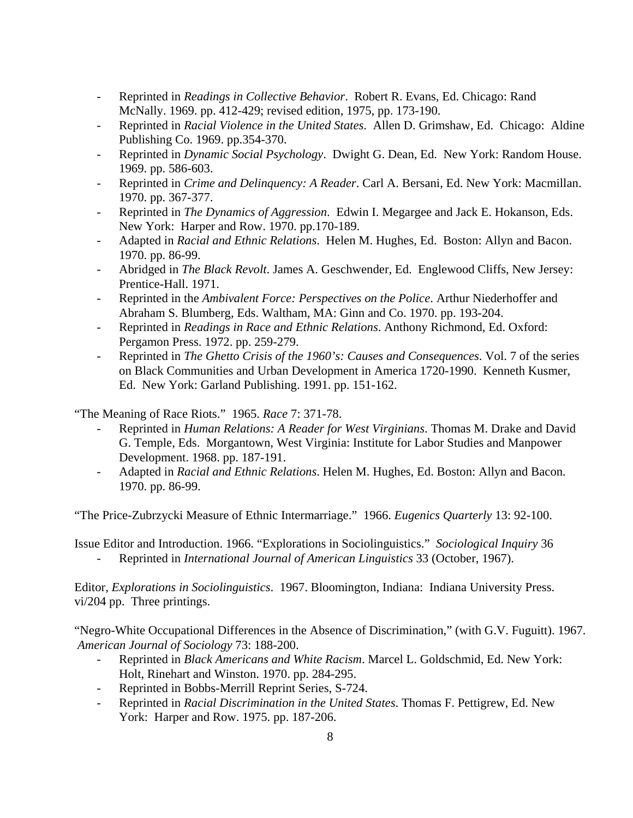- Reprinted in *Readings in Collective Behavior*. Robert R. Evans, Ed. Chicago: Rand McNally. 1969. pp. 412-429; revised edition, 1975, pp. 173-190.
- Reprinted in *Racial Violence in the United States*. Allen D. Grimshaw, Ed. Chicago: Aldine Publishing Co. 1969. pp.354-370.
- Reprinted in *Dynamic Social Psychology*. Dwight G. Dean, Ed. New York: Random House. 1969. pp. 586-603.
- Reprinted in *Crime and Delinquency: A Reader*. Carl A. Bersani, Ed. New York: Macmillan. 1970. pp. 367-377.
- Reprinted in *The Dynamics of Aggression*. Edwin I. Megargee and Jack E. Hokanson, Eds. New York: Harper and Row. 1970. pp.170-189.
- Adapted in *Racial and Ethnic Relations*. Helen M. Hughes, Ed. Boston: Allyn and Bacon. 1970. pp. 86-99.
- Abridged in *The Black Revolt*. James A. Geschwender, Ed. Englewood Cliffs, New Jersey: Prentice-Hall. 1971.
- Reprinted in the *Ambivalent Force: Perspectives on the Police*. Arthur Niederhoffer and Abraham S. Blumberg, Eds. Waltham, MA: Ginn and Co. 1970. pp. 193-204.
- Reprinted in *Readings in Race and Ethnic Relations*. Anthony Richmond, Ed. Oxford: Pergamon Press. 1972. pp. 259-279.
- Reprinted in *The Ghetto Crisis of the 1960's: Causes and Consequences*. Vol. 7 of the series on Black Communities and Urban Development in America 1720-1990. Kenneth Kusmer, Ed. New York: Garland Publishing. 1991. pp. 151-162.

"The Meaning of Race Riots." 1965. *Race* 7: 371-78.

- Reprinted in *Human Relations: A Reader for West Virginians*. Thomas M. Drake and David G. Temple, Eds. Morgantown, West Virginia: Institute for Labor Studies and Manpower Development. 1968. pp. 187-191.
- Adapted in *Racial and Ethnic Relations*. Helen M. Hughes, Ed. Boston: Allyn and Bacon. 1970. pp. 86-99.

"The Price-Zubrzycki Measure of Ethnic Intermarriage." 1966. *Eugenics Quarterly* 13: 92-100.

Issue Editor and Introduction. 1966. "Explorations in Sociolinguistics." *Sociological Inquiry* 36 - Reprinted in *International Journal of American Linguistics* 33 (October, 1967).

Editor, *Explorations in Sociolinguistics*. 1967. Bloomington, Indiana: Indiana University Press. vi/204 pp. Three printings.

"Negro-White Occupational Differences in the Absence of Discrimination," (with G.V. Fuguitt). 1967. *American Journal of Sociology* 73: 188-200.

- Reprinted in *Black Americans and White Racism*. Marcel L. Goldschmid, Ed. New York: Holt, Rinehart and Winston. 1970. pp. 284-295.
- Reprinted in Bobbs-Merrill Reprint Series, S-724.
- Reprinted in *Racial Discrimination in the United States*. Thomas F. Pettigrew, Ed. New York: Harper and Row. 1975. pp. 187-206.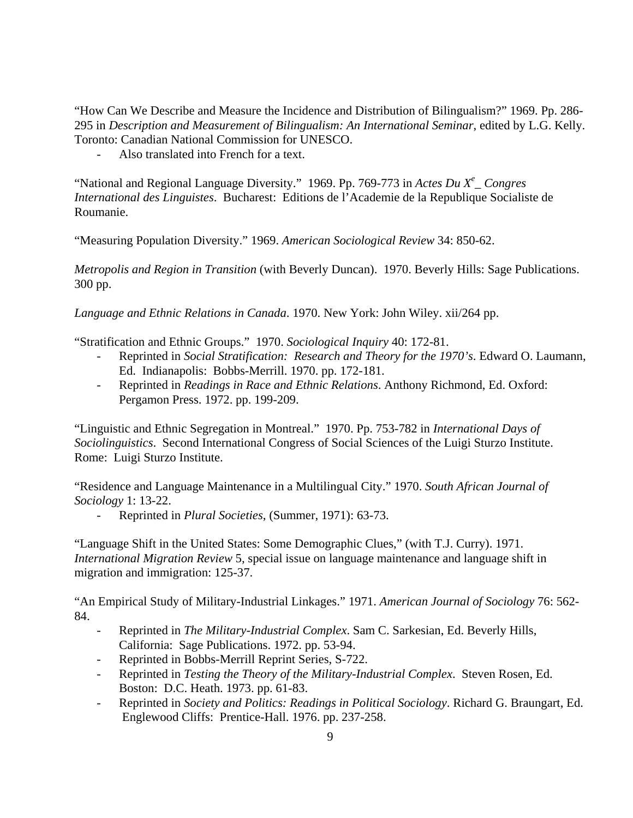"How Can We Describe and Measure the Incidence and Distribution of Bilingualism?" 1969. Pp. 286- 295 in *Description and Measurement of Bilingualism: An International Seminar*, edited by L.G. Kelly. Toronto: Canadian National Commission for UNESCO.

Also translated into French for a text.

"National and Regional Language Diversity." 1969. Pp. 769-773 in *Actes Du X<sup>e</sup>* Congres *International des Linguistes*. Bucharest: Editions de l'Academie de la Republique Socialiste de Roumanie.

"Measuring Population Diversity." 1969. *American Sociological Review* 34: 850-62.

*Metropolis and Region in Transition* (with Beverly Duncan). 1970. Beverly Hills: Sage Publications. 300 pp.

*Language and Ethnic Relations in Canada*. 1970. New York: John Wiley. xii/264 pp.

"Stratification and Ethnic Groups." 1970. *Sociological Inquiry* 40: 172-81.

- Reprinted in *Social Stratification: Research and Theory for the 1970's*. Edward O. Laumann, Ed. Indianapolis: Bobbs-Merrill. 1970. pp. 172-181.
- Reprinted in *Readings in Race and Ethnic Relations*. Anthony Richmond, Ed. Oxford: Pergamon Press. 1972. pp. 199-209.

"Linguistic and Ethnic Segregation in Montreal." 1970. Pp. 753-782 in *International Days of Sociolinguistics*. Second International Congress of Social Sciences of the Luigi Sturzo Institute. Rome: Luigi Sturzo Institute.

"Residence and Language Maintenance in a Multilingual City." 1970. *South African Journal of Sociology* 1: 13-22.

- Reprinted in *Plural Societies*, (Summer, 1971): 63-73.

"Language Shift in the United States: Some Demographic Clues," (with T.J. Curry). 1971. *International Migration Review* 5, special issue on language maintenance and language shift in migration and immigration: 125-37.

"An Empirical Study of Military-Industrial Linkages." 1971. *American Journal of Sociology* 76: 562- 84.

- Reprinted in *The Military-Industrial Complex*. Sam C. Sarkesian, Ed. Beverly Hills, California: Sage Publications. 1972. pp. 53-94.
- Reprinted in Bobbs-Merrill Reprint Series, S-722.
- Reprinted in *Testing the Theory of the Military-Industrial Complex*. Steven Rosen, Ed. Boston: D.C. Heath. 1973. pp. 61-83.
- Reprinted in *Society and Politics: Readings in Political Sociology*. Richard G. Braungart, Ed. Englewood Cliffs: Prentice-Hall. 1976. pp. 237-258.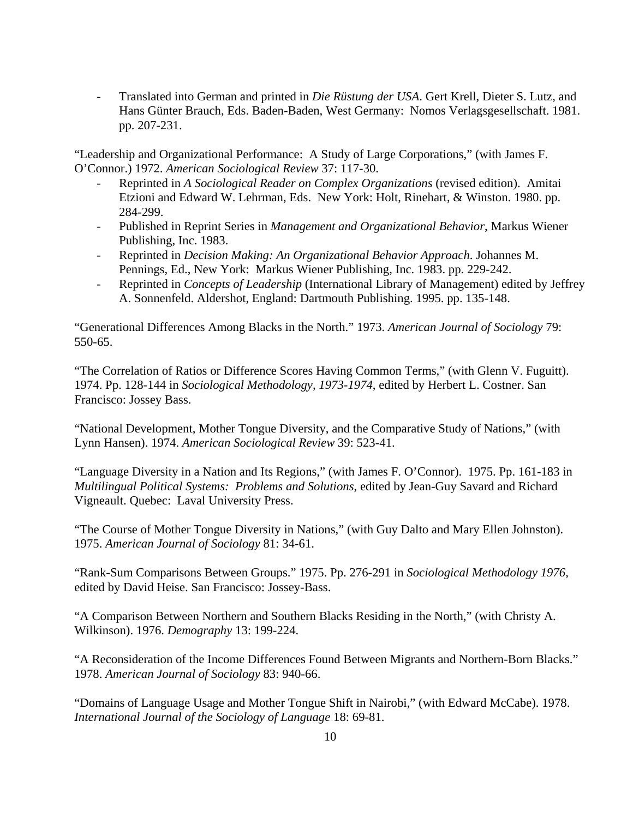- Translated into German and printed in *Die Rüstung der USA*. Gert Krell, Dieter S. Lutz, and Hans Günter Brauch, Eds. Baden-Baden, West Germany: Nomos Verlagsgesellschaft. 1981. pp. 207-231.

"Leadership and Organizational Performance: A Study of Large Corporations," (with James F. O'Connor.) 1972. *American Sociological Review* 37: 117-30.

- Reprinted in *A Sociological Reader on Complex Organizations* (revised edition). Amitai Etzioni and Edward W. Lehrman, Eds. New York: Holt, Rinehart, & Winston. 1980. pp. 284-299.
- Published in Reprint Series in *Management and Organizational Behavior*, Markus Wiener Publishing, Inc. 1983.
- Reprinted in *Decision Making: An Organizational Behavior Approach*. Johannes M. Pennings, Ed., New York: Markus Wiener Publishing, Inc. 1983. pp. 229-242.
- Reprinted in *Concepts of Leadership* (International Library of Management) edited by Jeffrey A. Sonnenfeld. Aldershot, England: Dartmouth Publishing. 1995. pp. 135-148.

"Generational Differences Among Blacks in the North." 1973. *American Journal of Sociology* 79: 550-65.

"The Correlation of Ratios or Difference Scores Having Common Terms," (with Glenn V. Fuguitt). 1974. Pp. 128-144 in *Sociological Methodology, 1973-1974*, edited by Herbert L. Costner. San Francisco: Jossey Bass.

"National Development, Mother Tongue Diversity, and the Comparative Study of Nations," (with Lynn Hansen). 1974. *American Sociological Review* 39: 523-41.

"Language Diversity in a Nation and Its Regions," (with James F. O'Connor). 1975. Pp. 161-183 in *Multilingual Political Systems: Problems and Solutions*, edited by Jean-Guy Savard and Richard Vigneault. Quebec: Laval University Press.

"The Course of Mother Tongue Diversity in Nations," (with Guy Dalto and Mary Ellen Johnston). 1975. *American Journal of Sociology* 81: 34-61.

"Rank-Sum Comparisons Between Groups." 1975. Pp. 276-291 in *Sociological Methodology 1976*, edited by David Heise. San Francisco: Jossey-Bass.

"A Comparison Between Northern and Southern Blacks Residing in the North," (with Christy A. Wilkinson). 1976. *Demography* 13: 199-224.

"A Reconsideration of the Income Differences Found Between Migrants and Northern-Born Blacks." 1978. *American Journal of Sociology* 83: 940-66.

"Domains of Language Usage and Mother Tongue Shift in Nairobi," (with Edward McCabe). 1978. *International Journal of the Sociology of Language* 18: 69-81.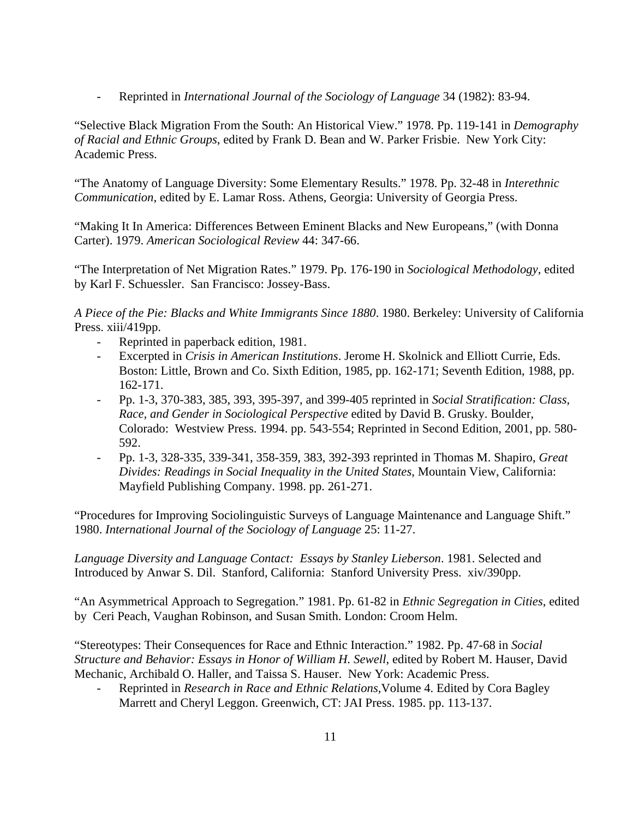- Reprinted in *International Journal of the Sociology of Language* 34 (1982): 83-94.

"Selective Black Migration From the South: An Historical View." 1978. Pp. 119-141 in *Demography of Racial and Ethnic Groups*, edited by Frank D. Bean and W. Parker Frisbie. New York City: Academic Press.

"The Anatomy of Language Diversity: Some Elementary Results." 1978. Pp. 32-48 in *Interethnic Communication*, edited by E. Lamar Ross. Athens, Georgia: University of Georgia Press.

"Making It In America: Differences Between Eminent Blacks and New Europeans," (with Donna Carter). 1979. *American Sociological Review* 44: 347-66.

"The Interpretation of Net Migration Rates." 1979. Pp. 176-190 in *Sociological Methodology*, edited by Karl F. Schuessler. San Francisco: Jossey-Bass.

*A Piece of the Pie: Blacks and White Immigrants Since 1880*. 1980. Berkeley: University of California Press. xiii/419pp.

- Reprinted in paperback edition, 1981.
- Excerpted in *Crisis in American Institutions*. Jerome H. Skolnick and Elliott Currie, Eds. Boston: Little, Brown and Co. Sixth Edition, 1985, pp. 162-171; Seventh Edition, 1988, pp. 162-171.
- Pp. 1-3, 370-383, 385, 393, 395-397, and 399-405 reprinted in *Social Stratification: Class, Race, and Gender in Sociological Perspective* edited by David B. Grusky. Boulder, Colorado: Westview Press. 1994. pp. 543-554; Reprinted in Second Edition, 2001, pp. 580- 592.
- Pp. 1-3, 328-335, 339-341, 358-359, 383, 392-393 reprinted in Thomas M. Shapiro, *Great Divides: Readings in Social Inequality in the United States*, Mountain View, California: Mayfield Publishing Company. 1998. pp. 261-271.

"Procedures for Improving Sociolinguistic Surveys of Language Maintenance and Language Shift." 1980. *International Journal of the Sociology of Language* 25: 11-27.

*Language Diversity and Language Contact: Essays by Stanley Lieberson*. 1981. Selected and Introduced by Anwar S. Dil. Stanford, California: Stanford University Press. xiv/390pp.

"An Asymmetrical Approach to Segregation." 1981. Pp. 61-82 in *Ethnic Segregation in Cities*, edited by Ceri Peach, Vaughan Robinson, and Susan Smith. London: Croom Helm.

"Stereotypes: Their Consequences for Race and Ethnic Interaction." 1982. Pp. 47-68 in *Social Structure and Behavior: Essays in Honor of William H. Sewell*, edited by Robert M. Hauser, David Mechanic, Archibald O. Haller, and Taissa S. Hauser. New York: Academic Press.

- Reprinted in *Research in Race and Ethnic Relations,*Volume 4. Edited by Cora Bagley Marrett and Cheryl Leggon. Greenwich, CT: JAI Press. 1985. pp. 113-137.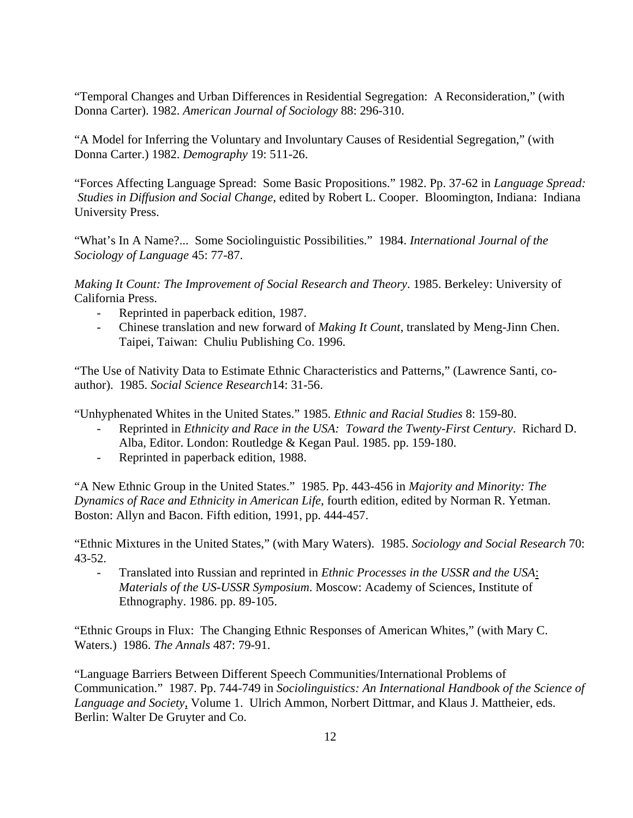"Temporal Changes and Urban Differences in Residential Segregation: A Reconsideration," (with Donna Carter). 1982. *American Journal of Sociology* 88: 296-310.

"A Model for Inferring the Voluntary and Involuntary Causes of Residential Segregation," (with Donna Carter.) 1982. *Demography* 19: 511-26.

"Forces Affecting Language Spread: Some Basic Propositions." 1982. Pp. 37-62 in *Language Spread: Studies in Diffusion and Social Change*, edited by Robert L. Cooper. Bloomington, Indiana: Indiana University Press.

"What's In A Name?... Some Sociolinguistic Possibilities." 1984. *International Journal of the Sociology of Language* 45: 77-87.

*Making It Count: The Improvement of Social Research and Theory*. 1985. Berkeley: University of California Press.

- Reprinted in paperback edition, 1987.
- Chinese translation and new forward of *Making It Count*, translated by Meng-Jinn Chen. Taipei, Taiwan: Chuliu Publishing Co. 1996.

"The Use of Nativity Data to Estimate Ethnic Characteristics and Patterns," (Lawrence Santi, coauthor). 1985. *Social Science Research*14: 31-56.

"Unhyphenated Whites in the United States." 1985. *Ethnic and Racial Studies* 8: 159-80.

- Reprinted in *Ethnicity and Race in the USA: Toward the Twenty-First Century*. Richard D. Alba, Editor. London: Routledge & Kegan Paul. 1985. pp. 159-180.
- Reprinted in paperback edition, 1988.

"A New Ethnic Group in the United States." 1985. Pp. 443-456 in *Majority and Minority: The Dynamics of Race and Ethnicity in American Life*, fourth edition, edited by Norman R. Yetman. Boston: Allyn and Bacon. Fifth edition, 1991, pp. 444-457.

"Ethnic Mixtures in the United States," (with Mary Waters). 1985. *Sociology and Social Research* 70: 43-52.

Translated into Russian and reprinted in *Ethnic Processes in the USSR and the USA*: *Materials of the US-USSR Symposium*. Moscow: Academy of Sciences, Institute of Ethnography. 1986. pp. 89-105.

"Ethnic Groups in Flux: The Changing Ethnic Responses of American Whites," (with Mary C. Waters.) 1986. *The Annals* 487: 79-91.

"Language Barriers Between Different Speech Communities/International Problems of Communication." 1987. Pp. 744-749 in *Sociolinguistics: An International Handbook of the Science of Language and Society*, Volume 1. Ulrich Ammon, Norbert Dittmar, and Klaus J. Mattheier, eds. Berlin: Walter De Gruyter and Co.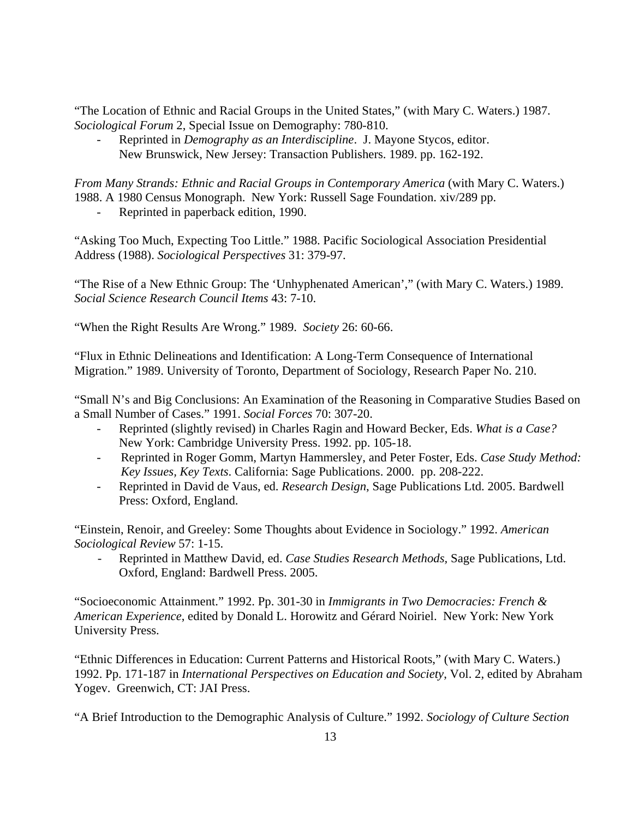"The Location of Ethnic and Racial Groups in the United States," (with Mary C. Waters.) 1987. *Sociological Forum* 2, Special Issue on Demography: 780-810.

Reprinted in *Demography as an Interdiscipline*. J. Mayone Stycos, editor. New Brunswick, New Jersey: Transaction Publishers. 1989. pp. 162-192.

*From Many Strands: Ethnic and Racial Groups in Contemporary America* (with Mary C. Waters.) 1988. A 1980 Census Monograph. New York: Russell Sage Foundation. xiv/289 pp.

Reprinted in paperback edition, 1990.

"Asking Too Much, Expecting Too Little." 1988. Pacific Sociological Association Presidential Address (1988). *Sociological Perspectives* 31: 379-97.

"The Rise of a New Ethnic Group: The 'Unhyphenated American'," (with Mary C. Waters.) 1989. *Social Science Research Council Items* 43: 7-10.

"When the Right Results Are Wrong." 1989. *Society* 26: 60-66.

"Flux in Ethnic Delineations and Identification: A Long-Term Consequence of International Migration." 1989. University of Toronto, Department of Sociology, Research Paper No. 210.

"Small N's and Big Conclusions: An Examination of the Reasoning in Comparative Studies Based on a Small Number of Cases." 1991. *Social Forces* 70: 307-20.

- Reprinted (slightly revised) in Charles Ragin and Howard Becker, Eds. *What is a Case?* New York: Cambridge University Press. 1992. pp. 105-18.
- Reprinted in Roger Gomm, Martyn Hammersley, and Peter Foster, Eds. *Case Study Method: Key Issues, Key Texts*. California: Sage Publications. 2000. pp. 208-222.
- Reprinted in David de Vaus, ed. *Research Design*, Sage Publications Ltd. 2005. Bardwell Press: Oxford, England.

"Einstein, Renoir, and Greeley: Some Thoughts about Evidence in Sociology." 1992. *American Sociological Review* 57: 1-15.

- Reprinted in Matthew David, ed. *Case Studies Research Methods,* Sage Publications, Ltd. Oxford, England: Bardwell Press. 2005.

"Socioeconomic Attainment." 1992. Pp. 301-30 in *Immigrants in Two Democracies: French & American Experience*, edited by Donald L. Horowitz and Gérard Noiriel. New York: New York University Press.

"Ethnic Differences in Education: Current Patterns and Historical Roots," (with Mary C. Waters.) 1992. Pp. 171-187 in *International Perspectives on Education and Society*, Vol. 2, edited by Abraham Yogev. Greenwich, CT: JAI Press.

"A Brief Introduction to the Demographic Analysis of Culture." 1992. *Sociology of Culture Section*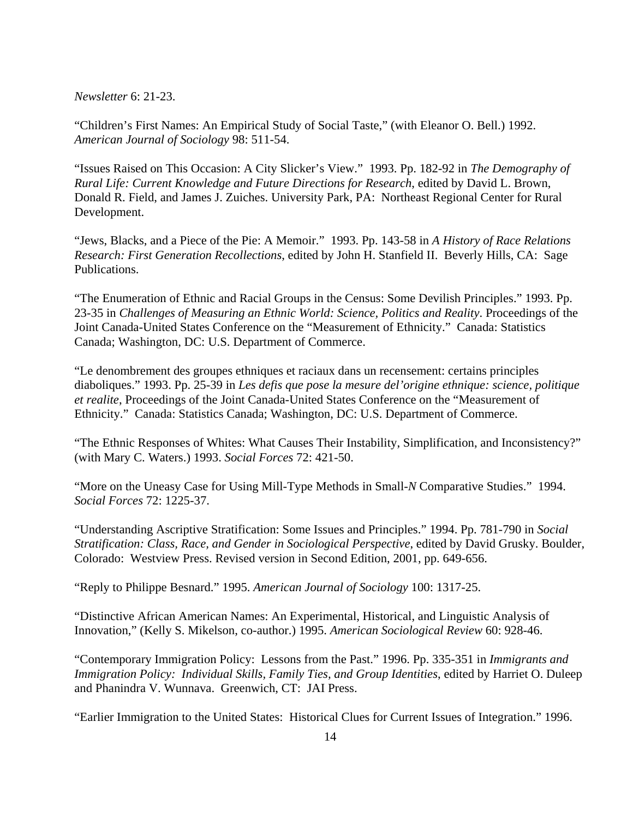*Newsletter* 6: 21-23.

"Children's First Names: An Empirical Study of Social Taste," (with Eleanor O. Bell.) 1992. *American Journal of Sociology* 98: 511-54.

"Issues Raised on This Occasion: A City Slicker's View." 1993. Pp. 182-92 in *The Demography of Rural Life: Current Knowledge and Future Directions for Research*, edited by David L. Brown, Donald R. Field, and James J. Zuiches. University Park, PA: Northeast Regional Center for Rural Development.

"Jews, Blacks, and a Piece of the Pie: A Memoir." 1993. Pp. 143-58 in *A History of Race Relations Research: First Generation Recollections*, edited by John H. Stanfield II. Beverly Hills, CA: Sage Publications.

"The Enumeration of Ethnic and Racial Groups in the Census: Some Devilish Principles." 1993. Pp. 23-35 in *Challenges of Measuring an Ethnic World: Science, Politics and Reality*. Proceedings of the Joint Canada-United States Conference on the "Measurement of Ethnicity." Canada: Statistics Canada; Washington, DC: U.S. Department of Commerce.

"Le denombrement des groupes ethniques et raciaux dans un recensement: certains principles diaboliques." 1993. Pp. 25-39 in *Les defis que pose la mesure del'origine ethnique: science, politique et realite*, Proceedings of the Joint Canada-United States Conference on the "Measurement of Ethnicity." Canada: Statistics Canada; Washington, DC: U.S. Department of Commerce.

"The Ethnic Responses of Whites: What Causes Their Instability, Simplification, and Inconsistency?" (with Mary C. Waters.) 1993. *Social Forces* 72: 421-50.

"More on the Uneasy Case for Using Mill-Type Methods in Small-*N* Comparative Studies." 1994. *Social Forces* 72: 1225-37.

"Understanding Ascriptive Stratification: Some Issues and Principles." 1994. Pp. 781-790 in *Social Stratification: Class, Race, and Gender in Sociological Perspective*, edited by David Grusky. Boulder, Colorado: Westview Press. Revised version in Second Edition, 2001, pp. 649-656.

"Reply to Philippe Besnard." 1995. *American Journal of Sociology* 100: 1317-25.

"Distinctive African American Names: An Experimental, Historical, and Linguistic Analysis of Innovation," (Kelly S. Mikelson, co-author.) 1995. *American Sociological Review* 60: 928-46.

"Contemporary Immigration Policy: Lessons from the Past." 1996. Pp. 335-351 in *Immigrants and Immigration Policy: Individual Skills, Family Ties, and Group Identities*, edited by Harriet O. Duleep and Phanindra V. Wunnava. Greenwich, CT: JAI Press.

"Earlier Immigration to the United States: Historical Clues for Current Issues of Integration." 1996.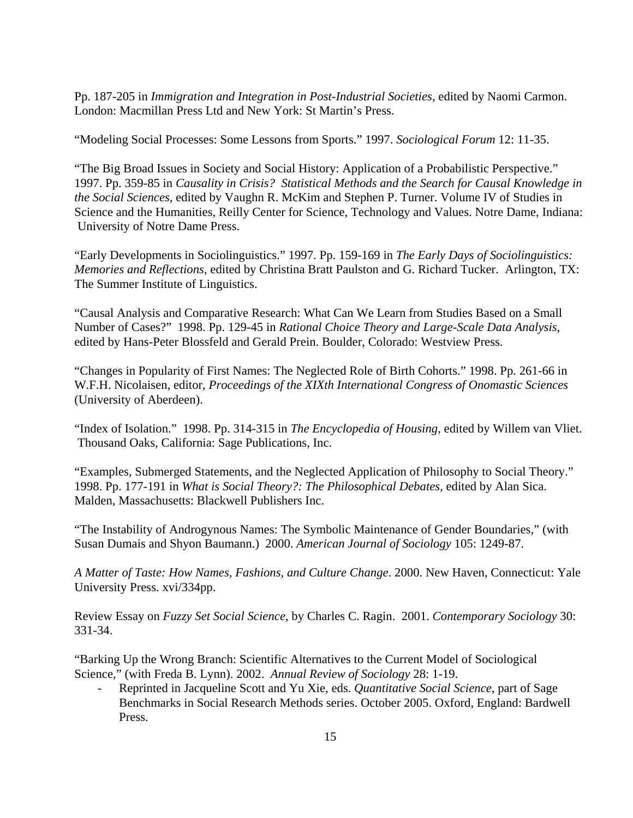Pp. 187-205 in *Immigration and Integration in Post-Industrial Societies*, edited by Naomi Carmon. London: Macmillan Press Ltd and New York: St Martin's Press.

"Modeling Social Processes: Some Lessons from Sports." 1997. *Sociological Forum* 12: 11-35.

"The Big Broad Issues in Society and Social History: Application of a Probabilistic Perspective." 1997. Pp. 359-85 in *Causality in Crisis? Statistical Methods and the Search for Causal Knowledge in the Social Sciences*, edited by Vaughn R. McKim and Stephen P. Turner. Volume IV of Studies in Science and the Humanities, Reilly Center for Science, Technology and Values. Notre Dame, Indiana: University of Notre Dame Press.

"Early Developments in Sociolinguistics." 1997. Pp. 159-169 in *The Early Days of Sociolinguistics: Memories and Reflections*, edited by Christina Bratt Paulston and G. Richard Tucker. Arlington, TX: The Summer Institute of Linguistics.

"Causal Analysis and Comparative Research: What Can We Learn from Studies Based on a Small Number of Cases?" 1998. Pp. 129-45 in *Rational Choice Theory and Large-Scale Data Analysis*, edited by Hans-Peter Blossfeld and Gerald Prein. Boulder, Colorado: Westview Press.

"Changes in Popularity of First Names: The Neglected Role of Birth Cohorts." 1998. Pp. 261-66 in W.F.H. Nicolaisen, editor, *Proceedings of the XIXth International Congress of Onomastic Sciences* (University of Aberdeen).

"Index of Isolation." 1998. Pp. 314-315 in *The Encyclopedia of Housing*, edited by Willem van Vliet. Thousand Oaks, California: Sage Publications, Inc.

"Examples, Submerged Statements, and the Neglected Application of Philosophy to Social Theory." 1998. Pp. 177-191 in *What is Social Theory?: The Philosophical Debates*, edited by Alan Sica. Malden, Massachusetts: Blackwell Publishers Inc.

"The Instability of Androgynous Names: The Symbolic Maintenance of Gender Boundaries," (with Susan Dumais and Shyon Baumann.) 2000. *American Journal of Sociology* 105: 1249-87.

*A Matter of Taste: How Names, Fashions, and Culture Change*. 2000. New Haven, Connecticut: Yale University Press. xvi/334pp.

Review Essay on *Fuzzy Set Social Science*, by Charles C. Ragin. 2001. *Contemporary Sociology* 30: 331-34.

"Barking Up the Wrong Branch: Scientific Alternatives to the Current Model of Sociological Science," (with Freda B. Lynn). 2002. *Annual Review of Sociology* 28: 1-19.

- Reprinted in Jacqueline Scott and Yu Xie, eds. *Quantitative Social Science*, part of Sage Benchmarks in Social Research Methods series. October 2005. Oxford, England: Bardwell Press.